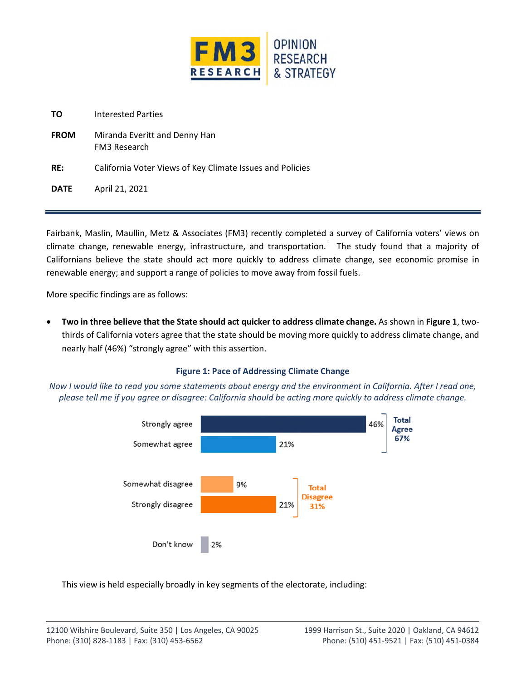

**FROM** Miranda Everitt and Denny Han FM3 Research

**RE:** California Voter Views of Key Climate Issues and Policies

**DATE** April 21, 2021

Fairbank, Maslin, Maullin, Metz & Associates (FM3) recently completed a survey of California voters' views on climate change, renewable energy, infrastructure, and transportation.<sup>i</sup> The study found that a majority of Californians believe the state should act more quickly to address climate change, see economic promise in renewable energy; and support a range of policies to move away from fossil fuels.

More specific findings are as follows:

 **Two in three believe that the State should act quicker to address climate change.** As shown in **Figure 1**, twothirds of California voters agree that the state should be moving more quickly to address climate change, and nearly half (46%) "strongly agree" with this assertion.

# **Figure 1: Pace of Addressing Climate Change**

*Now I would like to read you some statements about energy and the environment in California. After I read one, please tell me if you agree or disagree: California should be acting more quickly to address climate change.* 



This view is held especially broadly in key segments of the electorate, including: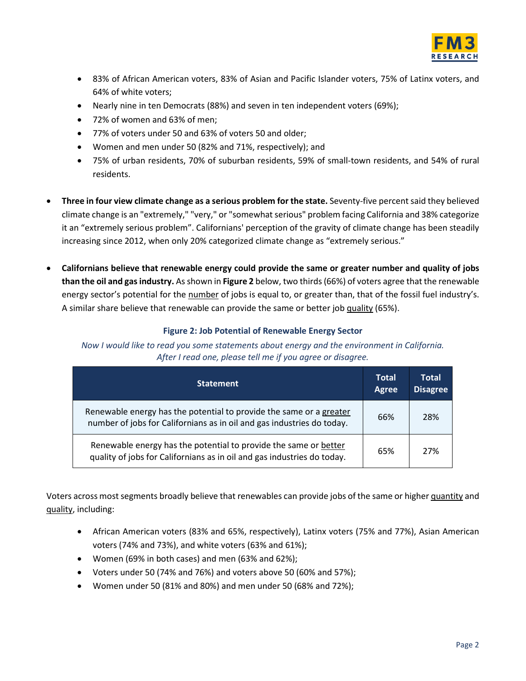

- 83% of African American voters, 83% of Asian and Pacific Islander voters, 75% of Latinx voters, and 64% of white voters;
- Nearly nine in ten Democrats (88%) and seven in ten independent voters (69%);
- 72% of women and 63% of men;
- 77% of voters under 50 and 63% of voters 50 and older;
- Women and men under 50 (82% and 71%, respectively); and
- 75% of urban residents, 70% of suburban residents, 59% of small-town residents, and 54% of rural residents.
- **Three in four view climate change as a serious problem for the state.** Seventy-five percent said they believed climate change is an "extremely," "very," or "somewhat serious" problem facing California and 38% categorize it an "extremely serious problem". Californians' perception of the gravity of climate change has been steadily increasing since 2012, when only 20% categorized climate change as "extremely serious."
- **Californians believe that renewable energy could provide the same or greater number and quality of jobs than the oil and gas industry.** As shown in **Figure 2** below, two thirds (66%) of voters agree that the renewable energy sector's potential for the number of jobs is equal to, or greater than, that of the fossil fuel industry's. A similar share believe that renewable can provide the same or better job quality (65%).

### **Figure 2: Job Potential of Renewable Energy Sector**

*Now I would like to read you some statements about energy and the environment in California. After I read one, please tell me if you agree or disagree.* 

| <b>Statement</b>                                                                                                                              | <b>Total</b><br><b>Agree</b> | Total<br><b>Disagree</b> |
|-----------------------------------------------------------------------------------------------------------------------------------------------|------------------------------|--------------------------|
| Renewable energy has the potential to provide the same or a greater<br>number of jobs for Californians as in oil and gas industries do today. | 66%                          | 28%                      |
| Renewable energy has the potential to provide the same or better<br>quality of jobs for Californians as in oil and gas industries do today.   | 65%                          | 27%                      |

Voters across most segments broadly believe that renewables can provide jobs of the same or higher quantity and quality, including:

- African American voters (83% and 65%, respectively), Latinx voters (75% and 77%), Asian American voters (74% and 73%), and white voters (63% and 61%);
- Women (69% in both cases) and men (63% and 62%);
- Voters under 50 (74% and 76%) and voters above 50 (60% and 57%);
- Women under 50 (81% and 80%) and men under 50 (68% and 72%);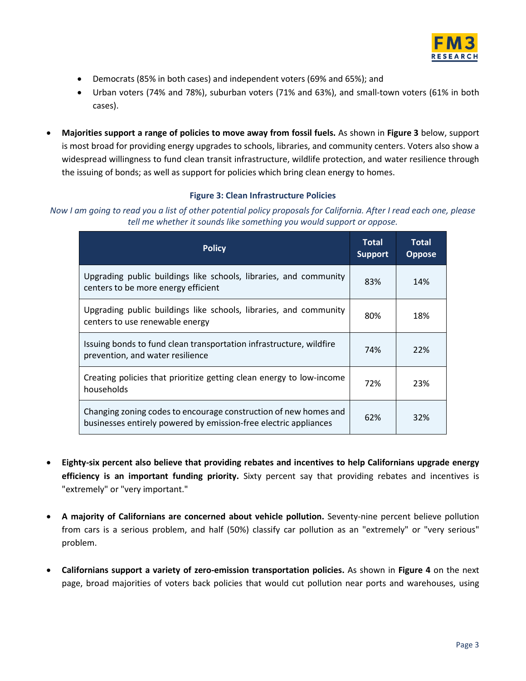

- Democrats (85% in both cases) and independent voters (69% and 65%); and
- Urban voters (74% and 78%), suburban voters (71% and 63%), and small-town voters (61% in both cases).
- **Majorities support a range of policies to move away from fossil fuels.** As shown in **Figure 3** below, support is most broad for providing energy upgrades to schools, libraries, and community centers. Voters also show a widespread willingness to fund clean transit infrastructure, wildlife protection, and water resilience through the issuing of bonds; as well as support for policies which bring clean energy to homes.

### **Figure 3: Clean Infrastructure Policies**

*Now I am going to read you a list of other potential policy proposals for California. After I read each one, please tell me whether it sounds like something you would support or oppose.* 

| <b>Policy</b>                                                                                                                        | <b>Total</b><br><b>Support</b> | Total<br><b>Oppose</b> |
|--------------------------------------------------------------------------------------------------------------------------------------|--------------------------------|------------------------|
| Upgrading public buildings like schools, libraries, and community<br>centers to be more energy efficient                             | 83%                            | 14%                    |
| Upgrading public buildings like schools, libraries, and community<br>centers to use renewable energy                                 | 80%                            | 18%                    |
| Issuing bonds to fund clean transportation infrastructure, wildfire<br>prevention, and water resilience                              | 74%                            | 22%                    |
| Creating policies that prioritize getting clean energy to low-income<br>households                                                   | 72%                            | 23%                    |
| Changing zoning codes to encourage construction of new homes and<br>businesses entirely powered by emission-free electric appliances | 62%                            | 32%                    |

- **Eighty-six percent also believe that providing rebates and incentives to help Californians upgrade energy efficiency is an important funding priority.** Sixty percent say that providing rebates and incentives is "extremely" or "very important."
- **A majority of Californians are concerned about vehicle pollution.** Seventy-nine percent believe pollution from cars is a serious problem, and half (50%) classify car pollution as an "extremely" or "very serious" problem.
- **Californians support a variety of zero-emission transportation policies.** As shown in **Figure 4** on the next page, broad majorities of voters back policies that would cut pollution near ports and warehouses, using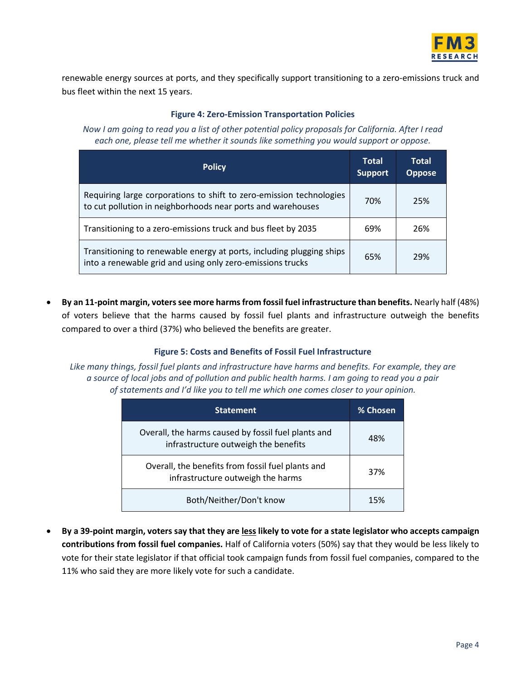

renewable energy sources at ports, and they specifically support transitioning to a zero-emissions truck and bus fleet within the next 15 years.

#### **Figure 4: Zero-Emission Transportation Policies**

*Now I am going to read you a list of other potential policy proposals for California. After I read each one, please tell me whether it sounds like something you would support or oppose.* 

| <b>Policy</b>                                                                                                                      | <b>Total</b><br><b>Support</b> | <b>Total</b><br><b>Oppose</b> |
|------------------------------------------------------------------------------------------------------------------------------------|--------------------------------|-------------------------------|
| Requiring large corporations to shift to zero-emission technologies<br>to cut pollution in neighborhoods near ports and warehouses | 70%                            | 25%                           |
| Transitioning to a zero-emissions truck and bus fleet by 2035                                                                      | 69%                            | 26%                           |
| Transitioning to renewable energy at ports, including plugging ships<br>into a renewable grid and using only zero-emissions trucks | 65%                            | 29%                           |

 **By an 11-point margin, voters see more harms from fossil fuel infrastructure than benefits.** Nearly half (48%) of voters believe that the harms caused by fossil fuel plants and infrastructure outweigh the benefits compared to over a third (37%) who believed the benefits are greater.

# **Figure 5: Costs and Benefits of Fossil Fuel Infrastructure**

*Like many things, fossil fuel plants and infrastructure have harms and benefits. For example, they are a source of local jobs and of pollution and public health harms. I am going to read you a pair of statements and I'd like you to tell me which one comes closer to your opinion.* 

| <b>Statement</b>                                                                            | % Chosen |
|---------------------------------------------------------------------------------------------|----------|
| Overall, the harms caused by fossil fuel plants and<br>infrastructure outweigh the benefits | 48%      |
| Overall, the benefits from fossil fuel plants and<br>infrastructure outweigh the harms      | 37%      |
| Both/Neither/Don't know                                                                     | 15%      |

 **By a 39-point margin, voters say that they are less likely to vote for a state legislator who accepts campaign contributions from fossil fuel companies.** Half of California voters (50%) say that they would be less likely to vote for their state legislator if that official took campaign funds from fossil fuel companies, compared to the 11% who said they are more likely vote for such a candidate.